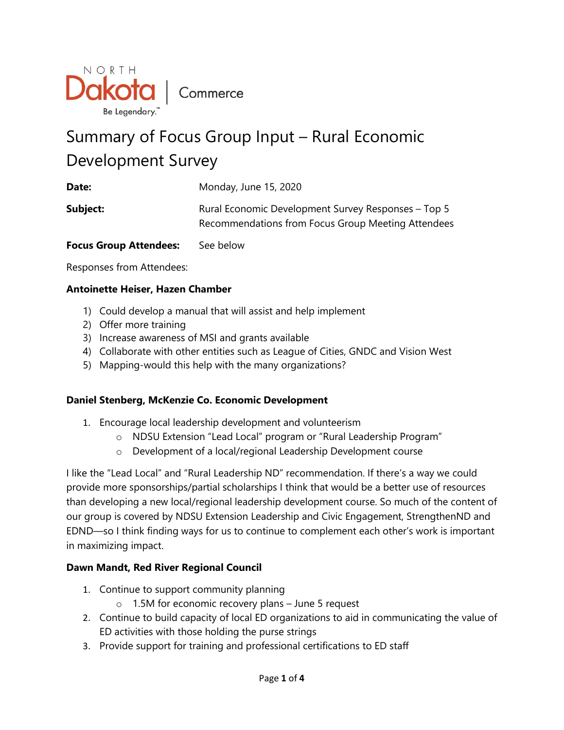

# Summary of Focus Group Input – Rural Economic Development Survey

| Date:                         | Monday, June 15, 2020                                                                                     |
|-------------------------------|-----------------------------------------------------------------------------------------------------------|
| Subject:                      | Rural Economic Development Survey Responses – Top 5<br>Recommendations from Focus Group Meeting Attendees |
| <b>Focus Group Attendees:</b> | See below                                                                                                 |

Responses from Attendees:

# **Antoinette Heiser, Hazen Chamber**

- 1) Could develop a manual that will assist and help implement
- 2) Offer more training
- 3) Increase awareness of MSI and grants available
- 4) Collaborate with other entities such as League of Cities, GNDC and Vision West
- 5) Mapping-would this help with the many organizations?

#### **Daniel Stenberg, McKenzie Co. Economic Development**

- 1. Encourage local leadership development and volunteerism
	- o NDSU Extension "Lead Local" program or "Rural Leadership Program"
	- o Development of a local/regional Leadership Development course

I like the "Lead Local" and "Rural Leadership ND" recommendation. If there's a way we could provide more sponsorships/partial scholarships I think that would be a better use of resources than developing a new local/regional leadership development course. So much of the content of our group is covered by NDSU Extension Leadership and Civic Engagement, StrengthenND and EDND—so I think finding ways for us to continue to complement each other's work is important in maximizing impact.

#### **Dawn Mandt, Red River Regional Council**

- 1. Continue to support community planning
	- o 1.5M for economic recovery plans June 5 request
- 2. Continue to build capacity of local ED organizations to aid in communicating the value of ED activities with those holding the purse strings
- 3. Provide support for training and professional certifications to ED staff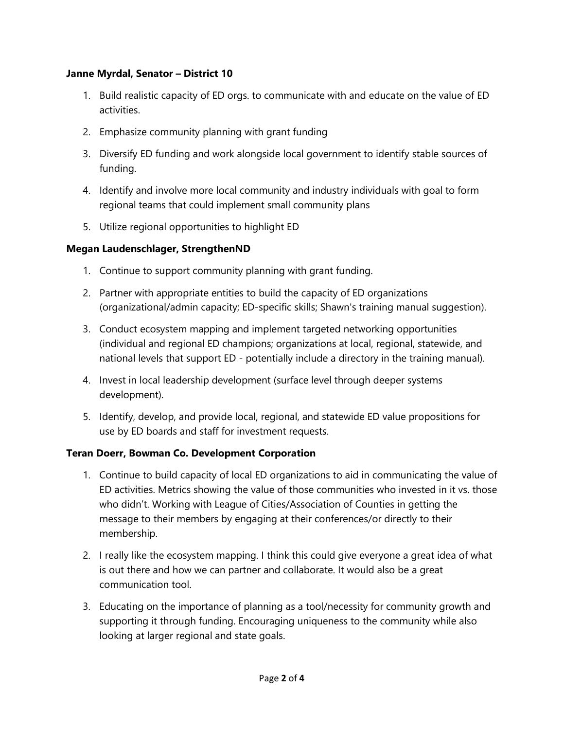#### **Janne Myrdal, Senator – District 10**

- 1. Build realistic capacity of ED orgs. to communicate with and educate on the value of ED activities.
- 2. Emphasize community planning with grant funding
- 3. Diversify ED funding and work alongside local government to identify stable sources of funding.
- 4. Identify and involve more local community and industry individuals with goal to form regional teams that could implement small community plans
- 5. Utilize regional opportunities to highlight ED

# **Megan Laudenschlager, StrengthenND**

- 1. Continue to support community planning with grant funding.
- 2. Partner with appropriate entities to build the capacity of ED organizations (organizational/admin capacity; ED-specific skills; Shawn's training manual suggestion).
- 3. Conduct ecosystem mapping and implement targeted networking opportunities (individual and regional ED champions; organizations at local, regional, statewide, and national levels that support ED - potentially include a directory in the training manual).
- 4. Invest in local leadership development (surface level through deeper systems development).
- 5. Identify, develop, and provide local, regional, and statewide ED value propositions for use by ED boards and staff for investment requests.

# **Teran Doerr, Bowman Co. Development Corporation**

- 1. Continue to build capacity of local ED organizations to aid in communicating the value of ED activities. Metrics showing the value of those communities who invested in it vs. those who didn't. Working with League of Cities/Association of Counties in getting the message to their members by engaging at their conferences/or directly to their membership.
- 2. I really like the ecosystem mapping. I think this could give everyone a great idea of what is out there and how we can partner and collaborate. It would also be a great communication tool.
- 3. Educating on the importance of planning as a tool/necessity for community growth and supporting it through funding. Encouraging uniqueness to the community while also looking at larger regional and state goals.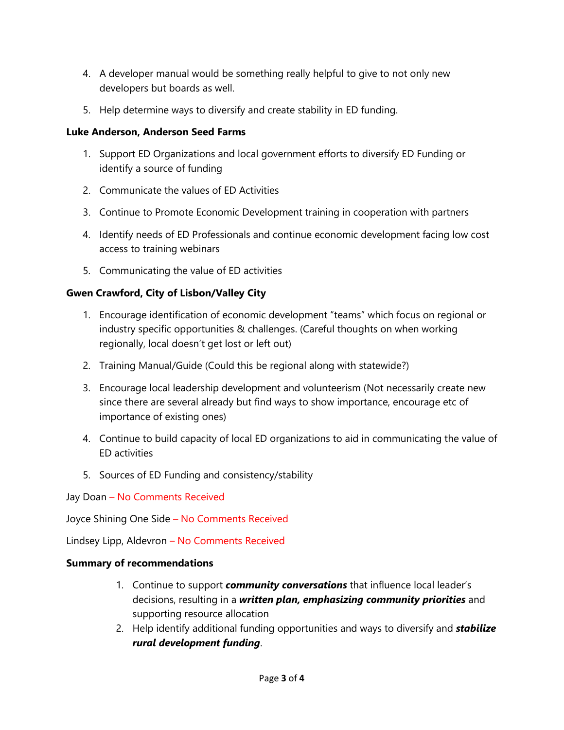- 4. A developer manual would be something really helpful to give to not only new developers but boards as well.
- 5. Help determine ways to diversify and create stability in ED funding.

### **Luke Anderson, Anderson Seed Farms**

- 1. Support ED Organizations and local government efforts to diversify ED Funding or identify a source of funding
- 2. Communicate the values of ED Activities
- 3. Continue to Promote Economic Development training in cooperation with partners
- 4. Identify needs of ED Professionals and continue economic development facing low cost access to training webinars
- 5. Communicating the value of ED activities

# **Gwen Crawford, City of Lisbon/Valley City**

- 1. Encourage identification of economic development "teams" which focus on regional or industry specific opportunities & challenges. (Careful thoughts on when working regionally, local doesn't get lost or left out)
- 2. Training Manual/Guide (Could this be regional along with statewide?)
- 3. Encourage local leadership development and volunteerism (Not necessarily create new since there are several already but find ways to show importance, encourage etc of importance of existing ones)
- 4. Continue to build capacity of local ED organizations to aid in communicating the value of ED activities
- 5. Sources of ED Funding and consistency/stability
- Jay Doan No Comments Received

Joyce Shining One Side – No Comments Received

Lindsey Lipp, Aldevron – No Comments Received

# **Summary of recommendations**

- 1. Continue to support *community conversations* that influence local leader's decisions, resulting in a *written plan, emphasizing community priorities* and supporting resource allocation
- 2. Help identify additional funding opportunities and ways to diversify and *stabilize rural development funding*.